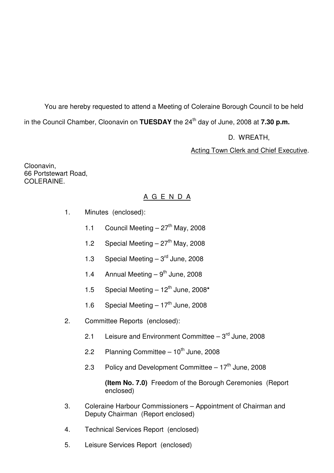You are hereby requested to attend a Meeting of Coleraine Borough Council to be held in the Council Chamber, Cloonavin on **TUESDAY** the 24<sup>th</sup> day of June, 2008 at **7.30 p.m.** 

D. WREATH,

Acting Town Clerk and Chief Executive.

Cloonavin, 66 Portstewart Road, COLERAINE.

# A G E N D A

- 1. Minutes (enclosed):
	- 1.1 Council Meeting  $-27<sup>th</sup>$  May, 2008
	- 1.2 Special Meeting  $-27<sup>th</sup>$  May, 2008
	- 1.3 Special Meeting  $-3<sup>rd</sup>$  June, 2008
	- 1.4 Annual Meeting  $-9<sup>th</sup>$  June, 2008
	- 1.5 Special Meeting  $-12^{th}$  June, 2008<sup>\*</sup>
	- 1.6 Special Meeting  $-17<sup>th</sup>$  June, 2008
- 2. Committee Reports (enclosed):
	- 2.1 Leisure and Environment Committee  $-3<sup>rd</sup>$  June, 2008
	- 2.2 Planning Committee  $-10^{th}$  June, 2008
	- 2.3 Policy and Development Committee  $-17<sup>th</sup>$  June, 2008

 **(Item No. 7.0)** Freedom of the Borough Ceremonies (Report enclosed)

- 3. Coleraine Harbour Commissioners Appointment of Chairman and Deputy Chairman (Report enclosed)
- 4. Technical Services Report (enclosed)
- 5. Leisure Services Report (enclosed)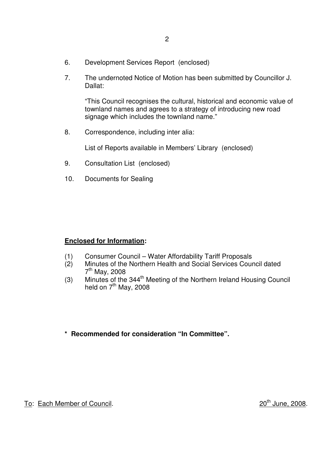- 6. Development Services Report (enclosed)
- 7. The undernoted Notice of Motion has been submitted by Councillor J. Dallat:

 "This Council recognises the cultural, historical and economic value of townland names and agrees to a strategy of introducing new road signage which includes the townland name."

8. Correspondence, including inter alia:

List of Reports available in Members' Library (enclosed)

- 9. Consultation List (enclosed)
- 10. Documents for Sealing

#### **Enclosed for Information:**

- (1) Consumer Council Water Affordability Tariff Proposals
- (2) Minutes of the Northern Health and Social Services Council dated  $7<sup>th</sup>$  May, 2008
- (3) Minutes of the  $344<sup>th</sup>$  Meeting of the Northern Ireland Housing Council held on  $7<sup>th</sup>$  May, 2008
- **\* Recommended for consideration "In Committee".**

To: Each Member of Council. 20<sup>th</sup> June, 2008.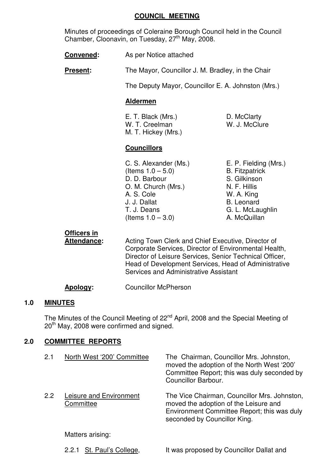### **COUNCIL MEETING**

 Minutes of proceedings of Coleraine Borough Council held in the Council Chamber, Cloonavin, on Tuesday,  $27<sup>th</sup>$  May, 2008.

**Convened:** As per Notice attached

**Present:** The Mayor, Councillor J. M. Bradley, in the Chair

The Deputy Mayor, Councillor E. A. Johnston (Mrs.)

# **Aldermen**

E. T. Black (Mrs.) D. McClarty W. T. Creelman W. J. McClure M. T. Hickey (Mrs.)

# **Councillors**

 C. S. Alexander (Ms.) E. P. Fielding (Mrs.)  $($ ltems  $1.0 - 5.0)$  B. Fitzpatrick D. D. Barbour S. Gilkinson O. M. Church (Mrs.) N. F. Hillis A. S. Cole W. A. King J. J. Dallat B. Leonard T. J. Deans G. L. McLaughlin  $($ ltems  $1.0 - 3.0)$  A. McQuillan

**Officers in**

 **Attendance:** Acting Town Clerk and Chief Executive, Director of Corporate Services, Director of Environmental Health, Director of Leisure Services, Senior Technical Officer, Head of Development Services, Head of Administrative Services and Administrative Assistant

**Apology:** Councillor McPherson

# **1.0 MINUTES**

The Minutes of the Council Meeting of 22<sup>nd</sup> April, 2008 and the Special Meeting of 20<sup>th</sup> May, 2008 were confirmed and signed.

# **2.0 COMMITTEE REPORTS**

| 2.1 | North West '200' Committee           | The Chairman, Councillor Mrs. Johnston,<br>moved the adoption of the North West '200'<br>Committee Report; this was duly seconded by<br>Councillor Barbour.          |
|-----|--------------------------------------|----------------------------------------------------------------------------------------------------------------------------------------------------------------------|
| 2.2 | Leisure and Environment<br>Committee | The Vice Chairman, Councillor Mrs. Johnston,<br>moved the adoption of the Leisure and<br>Environment Committee Report; this was duly<br>seconded by Councillor King. |
|     | Matters arising:                     |                                                                                                                                                                      |
|     | 2.2.1 St. Paul's College,            | It was proposed by Councillor Dallat and                                                                                                                             |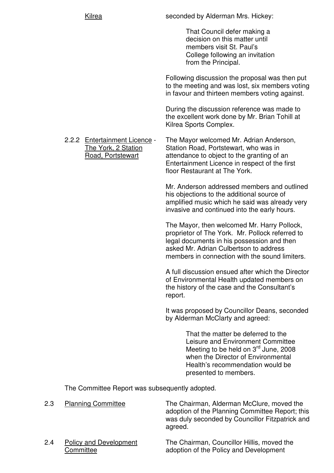seconded by Alderman Mrs. Hickey:

 That Council defer making a decision on this matter until members visit St. Paul's College following an invitation from the Principal.

 Following discussion the proposal was then put to the meeting and was lost, six members voting in favour and thirteen members voting against.

 During the discussion reference was made to the excellent work done by Mr. Brian Tohill at Kilrea Sports Complex.

2.2.2 Entertainment Licence - The Mayor welcomed Mr. Adrian Anderson,<br>The York. 2 Station - Station Road. Portstewart. who was in Station Road, Portstewart, who was in Road, Portstewart attendance to object to the granting of an Entertainment Licence in respect of the first floor Restaurant at The York.

> Mr. Anderson addressed members and outlined his objections to the additional source of amplified music which he said was already very invasive and continued into the early hours.

 The Mayor, then welcomed Mr. Harry Pollock, proprietor of The York. Mr. Pollock referred to legal documents in his possession and then asked Mr. Adrian Culbertson to address members in connection with the sound limiters.

 A full discussion ensued after which the Director of Environmental Health updated members on the history of the case and the Consultant's report.

 It was proposed by Councillor Deans, seconded by Alderman McClarty and agreed:

> That the matter be deferred to the Leisure and Environment Committee Meeting to be held on 3<sup>rd</sup> June, 2008 when the Director of Environmental Health's recommendation would be presented to members.

The Committee Report was subsequently adopted.

| 2.3 | <b>Planning Committee</b>                  | The Chairman, Alderman McClure, moved the<br>adoption of the Planning Committee Report; this<br>was duly seconded by Councillor Fitzpatrick and<br>agreed. |
|-----|--------------------------------------------|------------------------------------------------------------------------------------------------------------------------------------------------------------|
| 2.4 | <b>Policy and Development</b><br>Committee | The Chairman, Councillor Hillis, moved the<br>adoption of the Policy and Development                                                                       |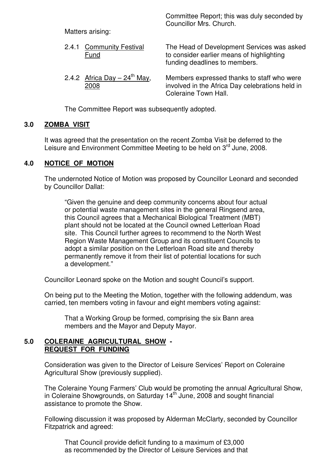Committee Report; this was duly seconded by Councillor Mrs. Church.

Matters arising:

| 2.4.1 Community Festival<br><b>Fund</b>         | The Head of Development Services was asked<br>to consider earlier means of highlighting<br>funding deadlines to members.     |
|-------------------------------------------------|------------------------------------------------------------------------------------------------------------------------------|
| 2.4.2 Africa Day $-24^{\text{th}}$ May,<br>2008 | Members expressed thanks to staff who were<br>involved in the Africa Day celebrations held in<br><b>Coleraine Town Hall.</b> |

The Committee Report was subsequently adopted.

# **3.0 ZOMBA VISIT**

 It was agreed that the presentation on the recent Zomba Visit be deferred to the Leisure and Environment Committee Meeting to be held on 3<sup>rd</sup> June, 2008.

# **4.0 NOTICE OF MOTION**

 The undernoted Notice of Motion was proposed by Councillor Leonard and seconded by Councillor Dallat:

 "Given the genuine and deep community concerns about four actual or potential waste management sites in the general Ringsend area, this Council agrees that a Mechanical Biological Treatment (MBT) plant should not be located at the Council owned Letterloan Road site. This Council further agrees to recommend to the North West Region Waste Management Group and its constituent Councils to adopt a similar position on the Letterloan Road site and thereby permanently remove it from their list of potential locations for such a development."

Councillor Leonard spoke on the Motion and sought Council's support.

 On being put to the Meeting the Motion, together with the following addendum, was carried, ten members voting in favour and eight members voting against:

 That a Working Group be formed, comprising the six Bann area members and the Mayor and Deputy Mayor.

# **5.0 COLERAINE AGRICULTURAL SHOW - REQUEST FOR FUNDING**

 Consideration was given to the Director of Leisure Services' Report on Coleraine Agricultural Show (previously supplied).

 The Coleraine Young Farmers' Club would be promoting the annual Agricultural Show, in Coleraine Showgrounds, on Saturday 14<sup>th</sup> June, 2008 and sought financial assistance to promote the Show.

 Following discussion it was proposed by Alderman McClarty, seconded by Councillor Fitzpatrick and agreed:

 That Council provide deficit funding to a maximum of £3,000 as recommended by the Director of Leisure Services and that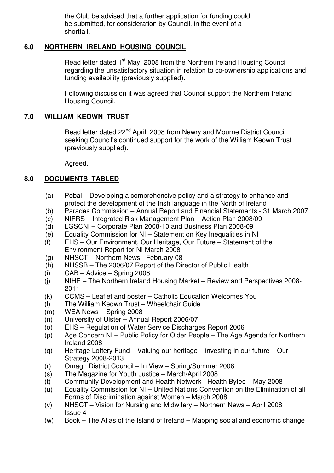the Club be advised that a further application for funding could be submitted, for consideration by Council, in the event of a shortfall.

# **6.0 NORTHERN IRELAND HOUSING COUNCIL**

Read letter dated 1<sup>st</sup> May, 2008 from the Northern Ireland Housing Council regarding the unsatisfactory situation in relation to co-ownership applications and funding availability (previously supplied).

 Following discussion it was agreed that Council support the Northern Ireland Housing Council.

### **7.0 WILLIAM KEOWN TRUST**

Read letter dated 22<sup>nd</sup> April, 2008 from Newry and Mourne District Council seeking Council's continued support for the work of the William Keown Trust (previously supplied).

Agreed.

# **8.0 DOCUMENTS TABLED**

- (a) Pobal Developing a comprehensive policy and a strategy to enhance and protect the development of the Irish language in the North of Ireland
- (b) Parades Commission Annual Report and Financial Statements 31 March 2007
- (c) NIFRS Integrated Risk Management Plan Action Plan 2008/09
- (d) LGSCNI Corporate Plan 2008-10 and Business Plan 2008-09
- (e) Equality Commission for NI Statement on Key Inequalities in NI
- (f) EHS Our Environment, Our Heritage, Our Future Statement of the Environment Report for NI March 2008
- (g) NHSCT Northern News February 08
- (h) NHSSB The 2006/07 Report of the Director of Public Health
- (i) CAB Advice Spring 2008
- (j) NIHE The Northern Ireland Housing Market Review and Perspectives 2008- 2011
- (k) CCMS Leaflet and poster Catholic Education Welcomes You
- (l) The William Keown Trust Wheelchair Guide
- (m) WEA News Spring 2008
- (n) University of Ulster Annual Report 2006/07
- (o) EHS Regulation of Water Service Discharges Report 2006
- (p) Age Concern NI Public Policy for Older People The Age Agenda for Northern Ireland 2008
- (q) Heritage Lottery Fund Valuing our heritage investing in our future Our Strategy 2008-2013
- (r) Omagh District Council In View Spring/Summer 2008
- (s) The Magazine for Youth Justice March/April 2008
- (t) Community Development and Health Network Health Bytes May 2008
- (u) Equality Commission for NI United Nations Convention on the Elimination of all Forms of Discrimination against Women – March 2008
- (v) NHSCT Vision for Nursing and Midwifery Northern News April 2008 Issue 4
- (w) Book The Atlas of the Island of Ireland Mapping social and economic change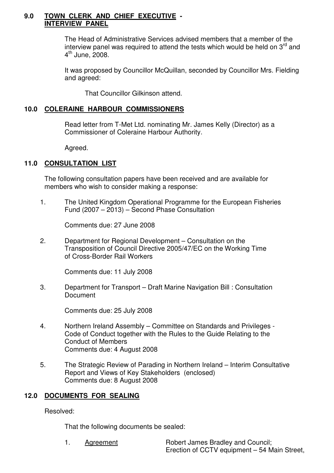#### **9.0 TOWN CLERK AND CHIEF EXECUTIVE - INTERVIEW PANEL**

 The Head of Administrative Services advised members that a member of the interview panel was required to attend the tests which would be held on  $3<sup>rd</sup>$  and  $4^{\text{th}}$  June, 2008.

 It was proposed by Councillor McQuillan, seconded by Councillor Mrs. Fielding and agreed:

That Councillor Gilkinson attend.

#### **10.0 COLERAINE HARBOUR COMMISSIONERS**

 Read letter from T-Met Ltd. nominating Mr. James Kelly (Director) as a Commissioner of Coleraine Harbour Authority.

Agreed.

# **11.0 CONSULTATION LIST**

 The following consultation papers have been received and are available for members who wish to consider making a response:

 1. The United Kingdom Operational Programme for the European Fisheries Fund (2007 – 2013) – Second Phase Consultation

Comments due: 27 June 2008

 2. Department for Regional Development – Consultation on the Transposition of Council Directive 2005/47/EC on the Working Time of Cross-Border Rail Workers

Comments due: 11 July 2008

 3. Department for Transport – Draft Marine Navigation Bill : Consultation **Document** 

Comments due: 25 July 2008

- 4. Northern Ireland Assembly Committee on Standards and Privileges Code of Conduct together with the Rules to the Guide Relating to the Conduct of Members Comments due: 4 August 2008
- 5. The Strategic Review of Parading in Northern Ireland Interim Consultative Report and Views of Key Stakeholders (enclosed) Comments due: 8 August 2008

#### **12.0 DOCUMENTS FOR SEALING**

Resolved:

That the following documents be sealed: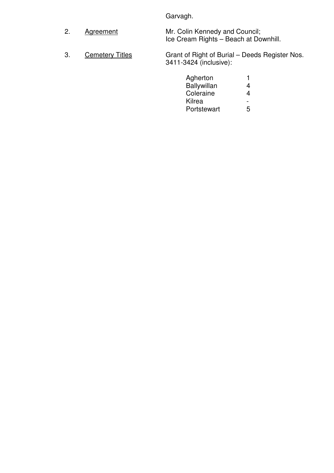Garvagh.

- 2. Agreement Mr. Colin Kennedy and Council; Ice Cream Rights – Beach at Downhill.
- 3. Cemetery Titles Grant of Right of Burial Deeds Register Nos. 3411-3424 (inclusive):

| Agherton    | 4                        |
|-------------|--------------------------|
|             |                          |
| Coleraine   | 4                        |
| Kilrea      | $\overline{\phantom{0}}$ |
| Portstewart | 5                        |
|             | Ballywillan              |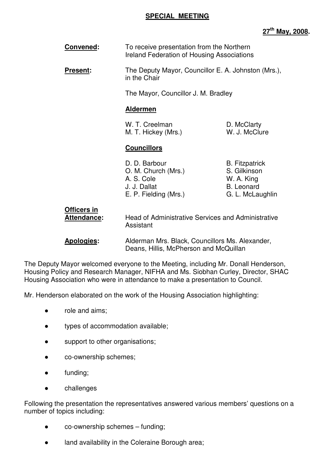### **SPECIAL MEETING**

# **27th May, 2008.**

| Convened:                         | To receive presentation from the Northern<br><b>Ireland Federation of Housing Associations</b> |                                                                                              |
|-----------------------------------|------------------------------------------------------------------------------------------------|----------------------------------------------------------------------------------------------|
| <b>Present:</b>                   | The Deputy Mayor, Councillor E. A. Johnston (Mrs.),<br>in the Chair                            |                                                                                              |
|                                   | The Mayor, Councillor J. M. Bradley                                                            |                                                                                              |
|                                   | <b>Aldermen</b>                                                                                |                                                                                              |
|                                   | W. T. Creelman<br>M. T. Hickey (Mrs.)                                                          | D. McClarty<br>W. J. McClure                                                                 |
|                                   | <b>Councillors</b>                                                                             |                                                                                              |
|                                   | D. D. Barbour<br>O. M. Church (Mrs.)<br>A. S. Cole<br>J. J. Dallat<br>E. P. Fielding (Mrs.)    | <b>B.</b> Fitzpatrick<br>S. Gilkinson<br>W. A. King<br><b>B.</b> Leonard<br>G. L. McLaughlin |
| Officers in<br><b>Attendance:</b> | Head of Administrative Services and Administrative<br>Assistant                                |                                                                                              |

 **Apologies:** Alderman Mrs. Black, Councillors Ms. Alexander, Deans, Hillis, McPherson and McQuillan

The Deputy Mayor welcomed everyone to the Meeting, including Mr. Donall Henderson, Housing Policy and Research Manager, NIFHA and Ms. Siobhan Curley, Director, SHAC Housing Association who were in attendance to make a presentation to Council.

Mr. Henderson elaborated on the work of the Housing Association highlighting:

- role and aims:
- types of accommodation available;
- support to other organisations;
- co-ownership schemes;
- funding;
- challenges

Following the presentation the representatives answered various members' questions on a number of topics including:

- co-ownership schemes funding;
- land availability in the Coleraine Borough area;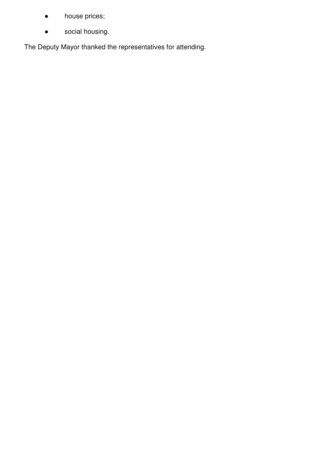- house prices;
- social housing.

The Deputy Mayor thanked the representatives for attending.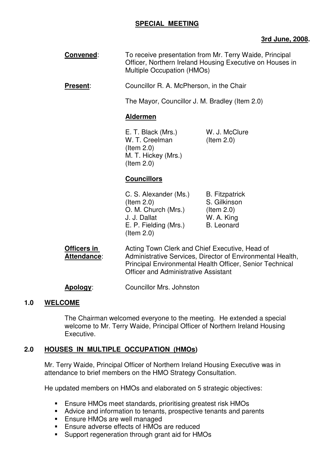# **SPECIAL MEETING**

# **3rd June, 2008.**

**Convened:** To receive presentation from Mr. Terry Waide, Principal Officer, Northern Ireland Housing Executive on Houses in Multiple Occupation (HMOs)

**Present:** Councillor R. A. McPherson, in the Chair

The Mayor, Councillor J. M. Bradley (Item 2.0)

#### **Aldermen**

 E. T. Black (Mrs.) W. J. McClure W. T. Creelman (Item 2.0) (Item 2.0) M. T. Hickey (Mrs.) (Item 2.0)

# **Councillors**

| C. S. Alexander (Ms.) | <b>B.</b> Fitzpatrick |
|-----------------------|-----------------------|
| $($ ltem 2.0 $)$      | S. Gilkinson          |
| O. M. Church (Mrs.)   | $($ ltem 2.0)         |
| J. J. Dallat          | W. A. King            |
| E. P. Fielding (Mrs.) | <b>B.</b> Leonard     |
| $($ ltem 2.0 $)$      |                       |

**Officers in The Acting Town Clerk and Chief Executive, Head of** Attendance: Administrative Services, Director of Environmental Health, Principal Environmental Health Officer, Senior Technical Officer and Administrative Assistant

**Apology**: Councillor Mrs. Johnston

#### **1.0 WELCOME**

The Chairman welcomed everyone to the meeting. He extended a special welcome to Mr. Terry Waide, Principal Officer of Northern Ireland Housing Executive.

# **2.0 HOUSES IN MULTIPLE OCCUPATION (HMOs)**

Mr. Terry Waide, Principal Officer of Northern Ireland Housing Executive was in attendance to brief members on the HMO Strategy Consultation.

He updated members on HMOs and elaborated on 5 strategic objectives:

- Ensure HMOs meet standards, prioritising greatest risk HMOs
- Advice and information to tenants, prospective tenants and parents
- **Ensure HMOs are well managed**
- **Ensure adverse effects of HMOs are reduced**
- **Support regeneration through grant aid for HMOs**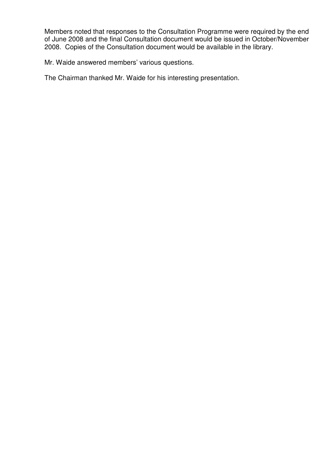Members noted that responses to the Consultation Programme were required by the end of June 2008 and the final Consultation document would be issued in October/November 2008. Copies of the Consultation document would be available in the library.

Mr. Waide answered members' various questions.

The Chairman thanked Mr. Waide for his interesting presentation.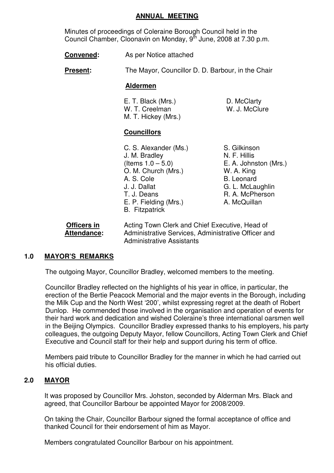#### **ANNUAL MEETING**

 Minutes of proceedings of Coleraine Borough Council held in the Council Chamber, Cloonavin on Monday, 9<sup>th</sup> June, 2008 at 7.30 p.m.

**Convened:** As per Notice attached

**Present:** The Mayor, Councillor D. D. Barbour, in the Chair

#### **Aldermen**

| E. T. Black (Mrs.)  | D. McClarty   |
|---------------------|---------------|
| W. T. Creelman      | W. J. McClure |
| M. T. Hickey (Mrs.) |               |

#### **Councillors**

- C. S. Alexander (Ms.) S. Gilkinson J. M. Bradley N. F. Hillis<br>(Items 1.0 – 5.0) E. A. Johns O. M. Church (Mrs.) W. A. King A. S. Cole B. Leonard J. J. Dallat G. L. McLaughlin T. J. Deans R. A. McPherson E. P. Fielding (Mrs.) A. McQuillan B. Fitzpatrick
- E. A. Johnston (Mrs.)

| Officers in | Acting Town Clerk and Chief Executive, Head of      |
|-------------|-----------------------------------------------------|
| Attendance: | Administrative Services, Administrative Officer and |
|             | <b>Administrative Assistants</b>                    |

# **1.0 MAYOR'S REMARKS**

The outgoing Mayor, Councillor Bradley, welcomed members to the meeting.

Councillor Bradley reflected on the highlights of his year in office, in particular, the erection of the Bertie Peacock Memorial and the major events in the Borough, including the Milk Cup and the North West '200', whilst expressing regret at the death of Robert Dunlop. He commended those involved in the organisation and operation of events for their hard work and dedication and wished Coleraine's three international oarsmen well in the Beijing Olympics. Councillor Bradley expressed thanks to his employers, his party colleagues, the outgoing Deputy Mayor, fellow Councillors, Acting Town Clerk and Chief Executive and Council staff for their help and support during his term of office.

Members paid tribute to Councillor Bradley for the manner in which he had carried out his official duties.

# **2.0 MAYOR**

It was proposed by Councillor Mrs. Johston, seconded by Alderman Mrs. Black and agreed, that Councillor Barbour be appointed Mayor for 2008/2009.

On taking the Chair, Councillor Barbour signed the formal acceptance of office and thanked Council for their endorsement of him as Mayor.

Members congratulated Councillor Barbour on his appointment.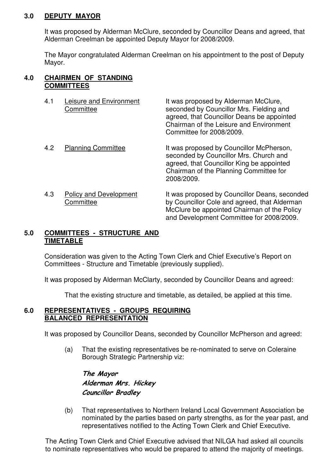#### **3.0 DEPUTY MAYOR**

It was proposed by Alderman McClure, seconded by Councillor Deans and agreed, that Alderman Creelman be appointed Deputy Mayor for 2008/2009.

The Mayor congratulated Alderman Creelman on his appointment to the post of Deputy Mayor.

#### **4.0 CHAIRMEN OF STANDING COMMITTEES**

| 4.1 | Leisure and Environment<br>Committee       | It was proposed by Alderman McClure,<br>seconded by Councillor Mrs. Fielding and<br>agreed, that Councillor Deans be appointed<br>Chairman of the Leisure and Environment<br>Committee for 2008/2009. |
|-----|--------------------------------------------|-------------------------------------------------------------------------------------------------------------------------------------------------------------------------------------------------------|
| 4.2 | <b>Planning Committee</b>                  | It was proposed by Councillor McPherson,<br>seconded by Councillor Mrs. Church and<br>agreed, that Councillor King be appointed<br>Chairman of the Planning Committee for<br>2008/2009.               |
| 4.3 | <b>Policy and Development</b><br>Committee | It was proposed by Councillor Deans, seconded<br>by Councillor Cole and agreed, that Alderman<br>McClure be appointed Chairman of the Policy<br>and Development Committee for 2008/2009.              |

# **5.0 COMMITTEES - STRUCTURE AND TIMETABLE**

Consideration was given to the Acting Town Clerk and Chief Executive's Report on Committees - Structure and Timetable (previously supplied).

It was proposed by Alderman McClarty, seconded by Councillor Deans and agreed:

That the existing structure and timetable, as detailed, be applied at this time.

#### **6.0 REPRESENTATIVES - GROUPS REQUIRING BALANCED REPRESENTATION**

It was proposed by Councillor Deans, seconded by Councillor McPherson and agreed:

(a) That the existing representatives be re-nominated to serve on Coleraine Borough Strategic Partnership viz:

The Mayor Alderman Mrs. Hickey Councillor Bradley

(b) That representatives to Northern Ireland Local Government Association be nominated by the parties based on party strengths, as for the year past, and representatives notified to the Acting Town Clerk and Chief Executive.

The Acting Town Clerk and Chief Executive advised that NILGA had asked all councils to nominate representatives who would be prepared to attend the majority of meetings.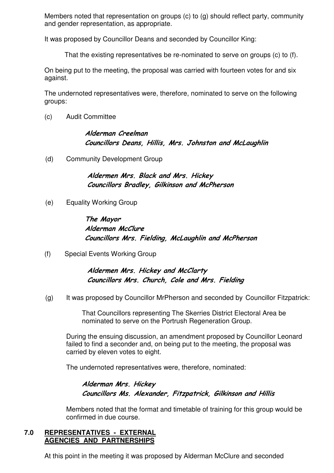Members noted that representation on groups (c) to (g) should reflect party, community and gender representation, as appropriate.

It was proposed by Councillor Deans and seconded by Councillor King:

That the existing representatives be re-nominated to serve on groups (c) to (f).

On being put to the meeting, the proposal was carried with fourteen votes for and six against.

The undernoted representatives were, therefore, nominated to serve on the following groups:

(c) Audit Committee

# Alderman Creelman Councillors Deans, Hillis, Mrs. Johnston and McLaughlin

(d) Community Development Group

Aldermen Mrs. Black and Mrs. Hickey Councillors Bradley, Gilkinson and McPherson

(e) Equality Working Group

# The Mayor Alderman McClure Councillors Mrs. Fielding, McLaughlin and McPherson

(f) Special Events Working Group

Aldermen Mrs. Hickey and McClarty Councillors Mrs. Church, Cole and Mrs. Fielding

(g) It was proposed by Councillor MrPherson and seconded by Councillor Fitzpatrick:

 That Councillors representing The Skerries District Electoral Area be nominated to serve on the Portrush Regeneration Group.

 During the ensuing discussion, an amendment proposed by Councillor Leonard failed to find a seconder and, on being put to the meeting, the proposal was carried by eleven votes to eight.

The undernoted representatives were, therefore, nominated:

# Alderman Mrs. Hickey Councillors Ms. Alexander, Fitzpatrick, Gilkinson and Hillis

Members noted that the format and timetable of training for this group would be confirmed in due course.

#### **7.0 REPRESENTATIVES - EXTERNAL AGENCIES AND PARTNERSHIPS**

At this point in the meeting it was proposed by Alderman McClure and seconded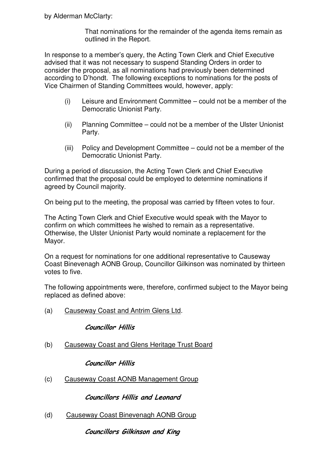That nominations for the remainder of the agenda items remain as outlined in the Report.

 In response to a member's query, the Acting Town Clerk and Chief Executive advised that it was not necessary to suspend Standing Orders in order to consider the proposal, as all nominations had previously been determined according to D'hondt. The following exceptions to nominations for the posts of Vice Chairmen of Standing Committees would, however, apply:

- (i) Leisure and Environment Committee could not be a member of the Democratic Unionist Party.
- (ii) Planning Committee could not be a member of the Ulster Unionist Party.
- (iii) Policy and Development Committee could not be a member of the Democratic Unionist Party.

During a period of discussion, the Acting Town Clerk and Chief Executive confirmed that the proposal could be employed to determine nominations if agreed by Council majority.

On being put to the meeting, the proposal was carried by fifteen votes to four.

The Acting Town Clerk and Chief Executive would speak with the Mayor to confirm on which committees he wished to remain as a representative. Otherwise, the Ulster Unionist Party would nominate a replacement for the Mayor.

On a request for nominations for one additional representative to Causeway Coast Binevenagh AONB Group, Councillor Gilkinson was nominated by thirteen votes to five.

The following appointments were, therefore, confirmed subject to the Mayor being replaced as defined above:

(a) Causeway Coast and Antrim Glens Ltd.

# Councillor Hillis

(b) Causeway Coast and Glens Heritage Trust Board

Councillor Hillis

(c) Causeway Coast AONB Management Group

Councillors Hillis and Leonard

(d) Causeway Coast Binevenagh AONB Group

Councillors Gilkinson and King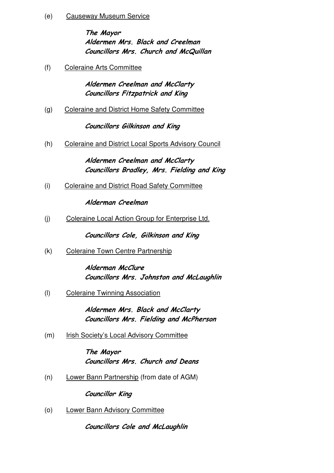(e) Causeway Museum Service

 The Mayor Aldermen Mrs. Black and Creelman Councillors Mrs. Church and McQuillan

(f) Coleraine Arts Committee

 Aldermen Creelman and McClarty Councillors Fitzpatrick and King

(g) Coleraine and District Home Safety Committee

Councillors Gilkinson and King

(h) Coleraine and District Local Sports Advisory Council

Aldermen Creelman and McClarty Councillors Bradley, Mrs. Fielding and King

(i) Coleraine and District Road Safety Committee

Alderman Creelman

(j) Coleraine Local Action Group for Enterprise Ltd.

Councillors Cole, Gilkinson and King

(k) Coleraine Town Centre Partnership

 Alderman McClure Councillors Mrs. Johnston and McLaughlin

(l) Coleraine Twinning Association

Aldermen Mrs. Black and McClarty Councillors Mrs. Fielding and McPherson

(m) Irish Society's Local Advisory Committee

The Mayor Councillors Mrs. Church and Deans

(n) Lower Bann Partnership (from date of AGM)

Councillor King

(o) Lower Bann Advisory Committee

Councillors Cole and McLaughlin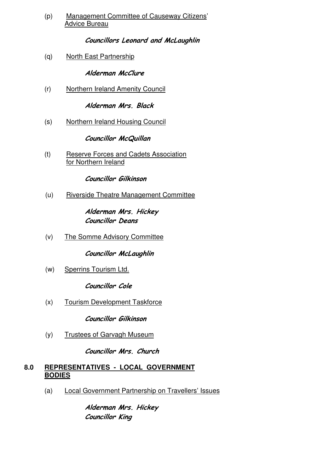(p) Management Committee of Causeway Citizens' Advice Bureau

# Councillors Leonard and McLaughlin

(q) North East Partnership

# Alderman McClure

(r) Northern Ireland Amenity Council

### Alderman Mrs. Black

(s) Northern Ireland Housing Council

Councillor McQuillan

(t) Reserve Forces and Cadets Association for Northern Ireland

Councillor Gilkinson

(u) Riverside Theatre Management Committee

Alderman Mrs. Hickey Councillor Deans

(v) The Somme Advisory Committee

Councillor McLaughlin

(w) Sperrins Tourism Ltd.

Councillor Cole

(x) Tourism Development Taskforce

Councillor Gilkinson

(y) Trustees of Garvagh Museum

Councillor Mrs. Church

#### **8.0 REPRESENTATIVES - LOCAL GOVERNMENT BODIES**

(a) Local Government Partnership on Travellers' Issues

 Alderman Mrs. Hickey Councillor King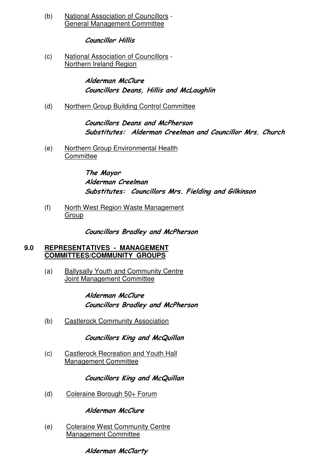(b) National Association of Councillors - General Management Committee

# Councillor Hillis

(c) National Association of Councillors - Northern Ireland Region

> Alderman McClure Councillors Deans, Hillis and McLaughlin

(d) Northern Group Building Control Committee

 Councillors Deans and McPherson Substitutes: Alderman Creelman and Councillor Mrs. Church

(e) Northern Group Environmental Health **Committee** 

> The Mayor Alderman Creelman Substitutes: Councillors Mrs. Fielding and Gilkinson

(f) North West Region Waste Management Group

Councillors Bradley and McPherson

# **9.0 REPRESENTATIVES - MANAGEMENT COMMITTEES/COMMUNITY GROUPS**

(a) Ballysally Youth and Community Centre Joint Management Committee

> Alderman McClure Councillors Bradley and McPherson

(b) Castlerock Community Association

Councillors King and McQuillan

(c) Castlerock Recreation and Youth Hall Management Committee

Councillors King and McQuillan

(d) Coleraine Borough 50+ Forum

Alderman McClure

(e) Coleraine West Community Centre Management Committee

Alderman McClarty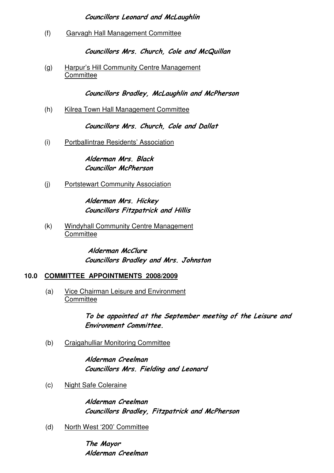# Councillors Leonard and McLaughlin

(f) Garvagh Hall Management Committee

Councillors Mrs. Church, Cole and McQuillan

(g) Harpur's Hill Community Centre Management **Committee** 

Councillors Bradley, McLaughlin and McPherson

(h) Kilrea Town Hall Management Committee

Councillors Mrs. Church, Cole and Dallat

(i) Portballintrae Residents' Association

Alderman Mrs. Black Councillor McPherson

(j) Portstewart Community Association

 Alderman Mrs. Hickey Councillors Fitzpatrick and Hillis

(k) Windyhall Community Centre Management **Committee** 

> Alderman McClure Councillors Bradley and Mrs. Johnston

# **10.0 COMMITTEE APPOINTMENTS 2008/2009**

(a) Vice Chairman Leisure and Environment **Committee** 

> To be appointed at the September meeting of the Leisure and Environment Committee.

(b) Craigahulliar Monitoring Committee

 Alderman Creelman Councillors Mrs. Fielding and Leonard

(c) Night Safe Coleraine

 Alderman Creelman Councillors Bradley, Fitzpatrick and McPherson

(d) North West '200' Committee

The Mayor Alderman Creelman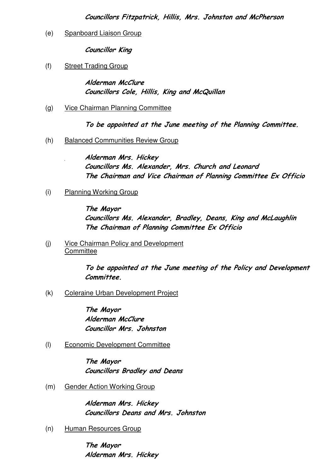# (e) Spanboard Liaison Group

Councillor King

# (f) Street Trading Group

 Alderman McClure Councillors Cole, Hillis, King and McQuillan

(g) Vice Chairman Planning Committee

To be appointed at the June meeting of the Planning Committee.

(h) Balanced Communities Review Group

Alderman Mrs. Hickey Councillors Ms. Alexander, Mrs. Church and Leonard The Chairman and Vice Chairman of Planning Committee Ex Officio

(i) Planning Working Group

 The Mayor Councillors Ms. Alexander, Bradley, Deans, King and McLaughlin The Chairman of Planning Committee Ex Officio

(j) Vice Chairman Policy and Development **Committee** 

> To be appointed at the June meeting of the Policy and Development Committee.

(k) Coleraine Urban Development Project

 The Mayor Alderman McClure Councillor Mrs. Johnston

(l) Economic Development Committee

 The Mayor Councillors Bradley and Deans

(m) Gender Action Working Group

 Alderman Mrs. Hickey Councillors Deans and Mrs. Johnston

(n) Human Resources Group

 The Mayor Alderman Mrs. Hickey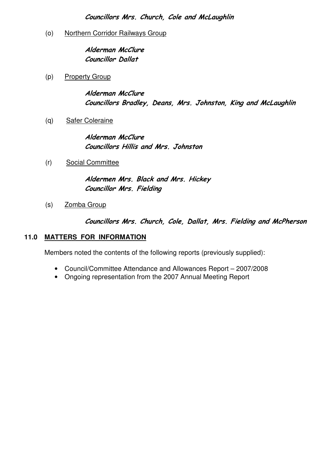Councillors Mrs. Church, Cole and McLaughlin

(o) Northern Corridor Railways Group

Alderman McClure Councillor Dallat

(p) Property Group

Alderman McClure Councillors Bradley, Deans, Mrs. Johnston, King and McLaughlin

(q) Safer Coleraine

Alderman McClure Councillors Hillis and Mrs. Johnston

(r) Social Committee

 Aldermen Mrs. Black and Mrs. Hickey Councillor Mrs. Fielding

(s) Zomba Group

Councillors Mrs. Church, Cole, Dallat, Mrs. Fielding and McPherson

### **11.0 MATTERS FOR INFORMATION**

Members noted the contents of the following reports (previously supplied):

- Council/Committee Attendance and Allowances Report 2007/2008
- Ongoing representation from the 2007 Annual Meeting Report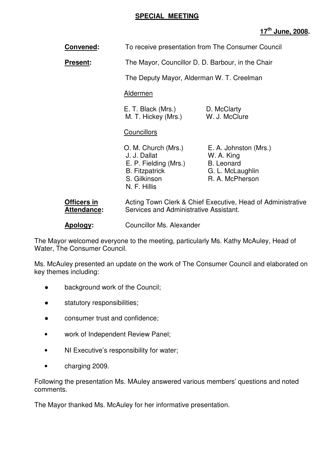# **SPECIAL MEETING**

# **17th June, 2008.**

| Convened:                         | To receive presentation from The Consumer Council                                                                     |                                                                                                 |
|-----------------------------------|-----------------------------------------------------------------------------------------------------------------------|-------------------------------------------------------------------------------------------------|
| <b>Present:</b>                   | The Mayor, Councillor D. D. Barbour, in the Chair                                                                     |                                                                                                 |
|                                   | The Deputy Mayor, Alderman W. T. Creelman                                                                             |                                                                                                 |
|                                   | <b>Aldermen</b>                                                                                                       |                                                                                                 |
|                                   | E. T. Black (Mrs.)<br>M. T. Hickey (Mrs.)                                                                             | D. McClarty<br>W. J. McClure                                                                    |
|                                   | <b>Councillors</b>                                                                                                    |                                                                                                 |
|                                   | O. M. Church (Mrs.)<br>J. J. Dallat<br>E. P. Fielding (Mrs.)<br><b>B.</b> Fitzpatrick<br>S. Gilkinson<br>N. F. Hillis | E. A. Johnston (Mrs.)<br>W. A. King<br><b>B.</b> Leonard<br>G. L. McLaughlin<br>R. A. McPherson |
| Officers in<br><b>Attendance:</b> | Services and Administrative Assistant.                                                                                | Acting Town Clerk & Chief Executive, Head of Administrative                                     |

**Apology:** Councillor Ms. Alexander

The Mayor welcomed everyone to the meeting, particularly Ms. Kathy McAuley, Head of Water, The Consumer Council.

Ms. McAuley presented an update on the work of The Consumer Council and elaborated on key themes including:

- background work of the Council;
- statutory responsibilities;
- consumer trust and confidence;
- work of Independent Review Panel;
- NI Executive's responsibility for water;
- charging 2009.

Following the presentation Ms. MAuley answered various members' questions and noted comments.

The Mayor thanked Ms. McAuley for her informative presentation.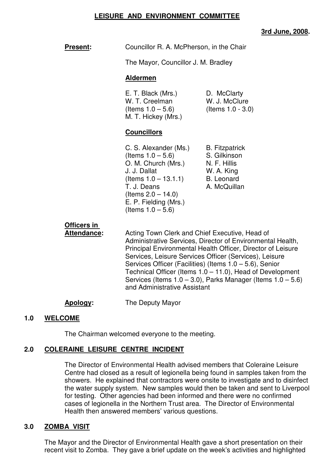#### **LEISURE AND ENVIRONMENT COMMITTEE**

# **3rd June, 2008.**

**Present:** Councillor R. A. McPherson, in the Chair

The Mayor, Councillor J. M. Bradley

#### **Aldermen**

| E. T. Black (Mrs.)   | D. McClarty          |
|----------------------|----------------------|
| W. T. Creelman       | W. J. McClure        |
| (Items $1.0 - 5.6$ ) | (Items $1.0 - 3.0$ ) |
| M. T. Hickey (Mrs.)  |                      |

# **Councillors**

C. S. Alexander (Ms.) B. Fitzpatrick  $($ ltems  $1.0 - 5.6)$  S. Gilkinson O. M. Church (Mrs.) N. F. Hillis J. J. Dallat W. A. King  $($  Items  $1.0 - 13.1.1)$  B. Leonard T. J. Deans A. McQuillan (Items  $2.0 - 14.0$ ) E. P. Fielding (Mrs.) (Items  $1.0 - 5.6$ )

# **Officers in**

**Attendance:** Acting Town Clerk and Chief Executive, Head of Administrative Services, Director of Environmental Health, Principal Environmental Health Officer, Director of Leisure Services, Leisure Services Officer (Services), Leisure Services Officer (Facilities) (Items 1.0 – 5.6), Senior Technical Officer (Items 1.0 – 11.0), Head of Development Services (Items  $1.0 - 3.0$ ), Parks Manager (Items  $1.0 - 5.6$ ) and Administrative Assistant

# **Apology:** The Deputy Mayor

# **1.0 WELCOME**

The Chairman welcomed everyone to the meeting.

# **2.0 COLERAINE LEISURE CENTRE INCIDENT**

 The Director of Environmental Health advised members that Coleraine Leisure Centre had closed as a result of legionella being found in samples taken from the showers. He explained that contractors were onsite to investigate and to disinfect the water supply system. New samples would then be taken and sent to Liverpool for testing. Other agencies had been informed and there were no confirmed cases of legionella in the Northern Trust area. The Director of Environmental Health then answered members' various questions.

# **3.0 ZOMBA VISIT**

 The Mayor and the Director of Environmental Health gave a short presentation on their recent visit to Zomba. They gave a brief update on the week's activities and highlighted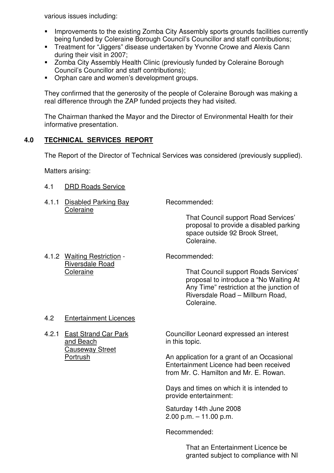various issues including:

- **IMPROVEMENTS TO the existing Zomba City Assembly sports grounds facilities currently** being funded by Coleraine Borough Council's Councillor and staff contributions;
- **Treatment for "Jiggers" disease undertaken by Yvonne Crowe and Alexis Cann** during their visit in 2007;
- **EXEDENT Assembly Health Clinic (previously funded by Coleraine Borough** Council's Councillor and staff contributions);
- **Orphan care and women's development groups.**

 They confirmed that the generosity of the people of Coleraine Borough was making a real difference through the ZAP funded projects they had visited.

 The Chairman thanked the Mayor and the Director of Environmental Health for their informative presentation.

# **4.0 TECHNICAL SERVICES REPORT**

The Report of the Director of Technical Services was considered (previously supplied).

Matters arising:

- 4.1 DRD Roads Service
- 4.1.1 Disabled Parking Bay Recommended: **Coleraine**

 That Council support Road Services' proposal to provide a disabled parking space outside 92 Brook Street, Coleraine.

4.1.2 Waiting Restriction - Recommended: Riversdale Road

Coleraine That Council support Roads Services' proposal to introduce a "No Waiting At Any Time" restriction at the junction of Riversdale Road – Millburn Road, Coleraine.

# 4.2 Entertainment Licences

and Beach in this topic. Causeway Street

4.2.1 East Strand Car Park Councillor Leonard expressed an interest

Portrush **An application for a grant of an Occasional**  Entertainment Licence had been received from Mr. C. Hamilton and Mr. E. Rowan.

> Days and times on which it is intended to provide entertainment:

Saturday 14th June 2008 2.00 p.m. – 11.00 p.m.

Recommended:

 That an Entertainment Licence be granted subject to compliance with NI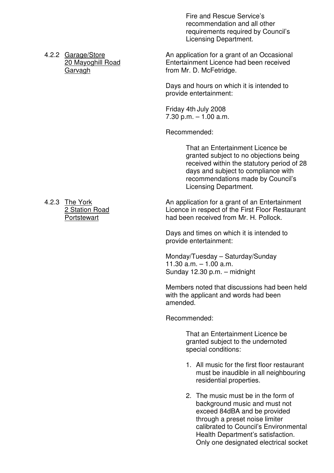Fire and Rescue Service's recommendation and all other requirements required by Council's Licensing Department.

4.2.2 Garage/Store **An application for a grant of an Occasional** 20 Mayoghill Road Entertainment Licence had been received Garvagh **from Mr. D. McFetridge.** 

> Days and hours on which it is intended to provide entertainment:

Friday 4th July 2008  $7.30$  p.m.  $-1.00$  a.m.

Recommended:

That an Entertainment Licence be granted subject to no objections being received within the statutory period of 28 days and subject to compliance with recommendations made by Council's Licensing Department.

4.2.3 The York **An application for a grant of an Entertainment** 2 Station Road Licence in respect of the First Floor Restaurant Portstewart **had been received from Mr. H. Pollock.** 

> Days and times on which it is intended to provide entertainment:

 Monday/Tuesday – Saturday/Sunday 11.30 a.m. – 1.00 a.m. Sunday 12.30 p.m. – midnight

Members noted that discussions had been held with the applicant and words had been amended.

Recommended:

 That an Entertainment Licence be granted subject to the undernoted special conditions:

- 1. All music for the first floor restaurant must be inaudible in all neighbouring residential properties.
- 2. The music must be in the form of background music and must not exceed 84dBA and be provided through a preset noise limiter calibrated to Council's Environmental Health Department's satisfaction. Only one designated electrical socket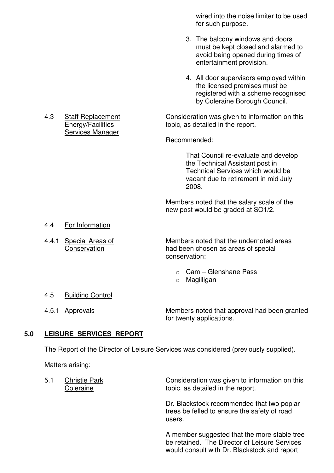wired into the noise limiter to be used for such purpose.

- 3. The balcony windows and doors must be kept closed and alarmed to avoid being opened during times of entertainment provision.
- 4. All door supervisors employed within the licensed premises must be registered with a scheme recognised by Coleraine Borough Council.

4.3 Staff Replacement - Consideration was given to information on this Energy/Facilities topic, as detailed in the report.

Recommended:

 That Council re-evaluate and develop the Technical Assistant post in Technical Services which would be vacant due to retirement in mid July  $2008.$ 

> Members noted that the salary scale of the new post would be graded at SO1/2.

- 4.4 For Information
- 

 4.4.1 Special Areas of Members noted that the undernoted areas Conservation **had been chosen as areas of special** conservation:

- o Cam Glenshane Pass
- o Magilligan

- 4.5 Building Control
- 

 4.5.1 Approvals Members noted that approval had been granted for twenty applications.

#### **5.0 LEISURE SERVICES REPORT**

The Report of the Director of Leisure Services was considered (previously supplied).

Matters arising:

5.1 Christie Park Consideration was given to information on this Coleraine topic, as detailed in the report.

 Dr. Blackstock recommended that two poplar trees be felled to ensure the safety of road users. The contract of the contract of the contract of the contract of the contract of the contract of the con

> A member suggested that the more stable tree be retained. The Director of Leisure Services would consult with Dr. Blackstock and report

Services Manager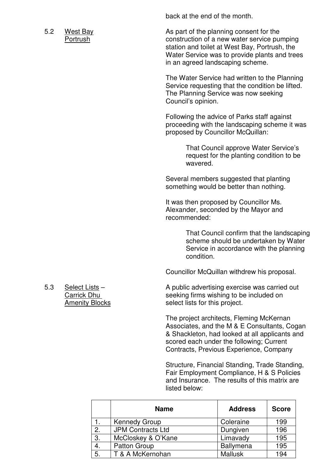back at the end of the month.

5.2 West Bay **As part of the planning consent for the**  Portrush construction of a new water service pumping station and toilet at West Bay, Portrush, the Water Service was to provide plants and trees in an agreed landscaping scheme.

> The Water Service had written to the Planning Service requesting that the condition be lifted. The Planning Service was now seeking Council's opinion.

 Following the advice of Parks staff against proceeding with the landscaping scheme it was proposed by Councillor McQuillan:

> That Council approve Water Service's request for the planting condition to be wavered.

 Several members suggested that planting something would be better than nothing.

 It was then proposed by Councillor Ms. Alexander, seconded by the Mayor and recommended:

> That Council confirm that the landscaping scheme should be undertaken by Water Service in accordance with the planning condition.

Councillor McQuillan withdrew his proposal.

5.3 Select Lists – A public advertising exercise was carried out Carrick Dhu seeking firms wishing to be included on Amenity Blocks select lists for this project.

> The project architects, Fleming McKernan Associates, and the M & E Consultants, Cogan & Shackleton, had looked at all applicants and scored each under the following; Current Contracts, Previous Experience, Company

 Structure, Financial Standing, Trade Standing, Fair Employment Compliance, H & S Policies and Insurance. The results of this matrix are listed below:

|    | <b>Name</b>              | <b>Address</b> | <b>Score</b> |
|----|--------------------------|----------------|--------------|
|    | <b>Kennedy Group</b>     | Coleraine      | 199          |
| 2. | <b>JPM Contracts Ltd</b> | Dungiven       | 196          |
| 3. | McCloskey & O'Kane       | Limavady       | 195          |
| 4. | Patton Group             | Ballymena      | 195          |
| 5. | T & A McKernohan         | <b>Mallusk</b> | 194          |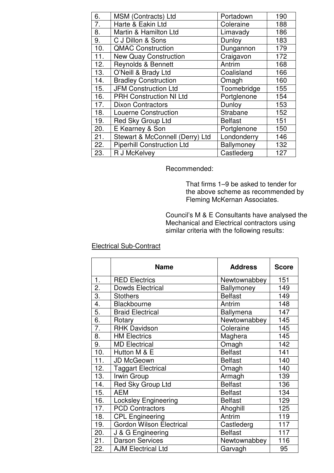| 6.  | MSM (Contracts) Ltd               | Portadown      | 190 |
|-----|-----------------------------------|----------------|-----|
| 7.  | Harte & Eakin Ltd                 | Coleraine      | 188 |
| 8.  | Martin & Hamilton Ltd             | Limavady       | 186 |
| 9.  | C J Dillon & Sons                 | Dunloy         | 183 |
| 10. | <b>QMAC Construction</b>          | Dungannon      | 179 |
| 11. | <b>New Quay Construction</b>      | Craigavon      | 172 |
| 12. | Reynolds & Bennett                | Antrim         | 168 |
| 13. | O'Neill & Brady Ltd               | Coalisland     | 166 |
| 14. | <b>Bradley Construction</b>       | Omagh          | 160 |
| 15. | <b>JFM Construction Ltd</b>       | Toomebridge    | 155 |
| 16. | <b>PRH Construction NI Ltd</b>    | Portglenone    | 154 |
| 17. | <b>Dixon Contractors</b>          | Dunloy         | 153 |
| 18. | <b>Louerne Construction</b>       | Strabane       | 152 |
| 19. | Red Sky Group Ltd                 | <b>Belfast</b> | 151 |
| 20. | E Kearney & Son                   | Portglenone    | 150 |
| 21. | Stewart & McConnell (Derry) Ltd   | Londonderry    | 146 |
| 22. | <b>Piperhill Construction Ltd</b> | Ballymoney     | 132 |
| 23. | R J McKelvey                      | Castlederg     | 127 |

Recommended:

 That firms 1–9 be asked to tender for the above scheme as recommended by Fleming McKernan Associates.

 Council's M & E Consultants have analysed the Mechanical and Electrical contractors using similar criteria with the following results:

# Electrical Sub-Contract

|                  | <b>Name</b>                     | <b>Address</b> | <b>Score</b> |
|------------------|---------------------------------|----------------|--------------|
| 1.               | <b>RED Electrics</b>            | Newtownabbey   | 151          |
| 2.               | <b>Dowds Electrical</b>         | Ballymoney     | 149          |
| 3.               | <b>Stothers</b>                 | <b>Belfast</b> | 149          |
| 4.               | Blackbourne                     | Antrim         | 148          |
| 5.               | <b>Braid Electrical</b>         | Ballymena      | 147          |
| 6.               | Rotary                          | Newtownabbey   | 145          |
| $\overline{7}$ . | <b>RHK Davidson</b>             | Coleraine      | 145          |
| 8.               | <b>HM Electrics</b>             | Maghera        | 145          |
| 9.               | <b>MD Electrical</b>            | Omagh          | 142          |
| 10.              | Hutton M & E                    | <b>Belfast</b> | 141          |
| 11.              | JD McGeown                      | <b>Belfast</b> | 140          |
| 12.              | <b>Taggart Electrical</b>       | Omagh          | 140          |
| 13.              | Irwin Group                     | Armagh         | 139          |
| 14.              | Red Sky Group Ltd               | <b>Belfast</b> | 136          |
| 15.              | <b>AEM</b>                      | <b>Belfast</b> | 134          |
| 16.              | Locksley Engineering            | <b>Belfast</b> | 129          |
| 17.              | <b>PCD Contractors</b>          | Ahoghill       | 125          |
| 18.              | <b>CPL Engineering</b>          | Antrim         | 119          |
| 19.              | <b>Gordon Wilson Electrical</b> | Castlederg     | 117          |
| 20.              | J & G Engineering               | <b>Belfast</b> | 117          |
| 21.              | <b>Darson Services</b>          | Newtownabbey   | 116          |
| 22.              | <b>AJM Electrical Ltd</b>       | Garvagh        | 95           |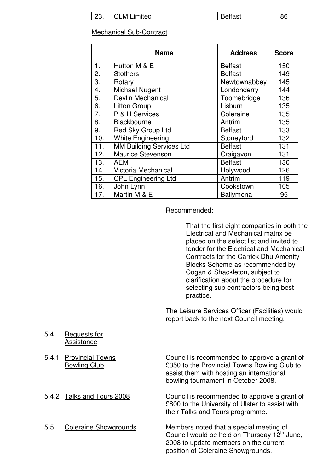| 23. | <b>CLM</b><br>Limited | <b>Belfast</b> | 86 |
|-----|-----------------------|----------------|----|
|-----|-----------------------|----------------|----|

#### Mechanical Sub-Contract

 $\overline{\phantom{a}}$ 

|                   | <b>Name</b>                     | <b>Address</b>   | <b>Score</b> |
|-------------------|---------------------------------|------------------|--------------|
| 1.                | Hutton M & E                    | <b>Belfast</b>   | 150          |
| 2.                | <b>Stothers</b>                 | <b>Belfast</b>   | 149          |
| 3.                | Rotary                          | Newtownabbey     | 145          |
| 4.                | Michael Nugent                  | Londonderry      | 144          |
| 5.                | Devlin Mechanical               | Toomebridge      | 136          |
| 6.                | <b>Litton Group</b>             | Lisburn          | 135          |
| 7.                | P & H Services                  | Coleraine        | 135          |
| 8.                | Blackbourne                     | Antrim           | 135          |
| 9.                | Red Sky Group Ltd               | <b>Belfast</b>   | 133          |
| 10.               | <b>White Engineering</b>        | Stoneyford       | 132          |
| $\overline{11}$ . | <b>MM Building Services Ltd</b> | <b>Belfast</b>   | 131          |
| 12.               | <b>Maurice Stevenson</b>        | Craigavon        | 131          |
| 13.               | <b>AEM</b>                      | <b>Belfast</b>   | 130          |
| 14.               | Victoria Mechanical             | Holywood         | 126          |
| 15.               | <b>CPL Engineering Ltd</b>      | Antrim           | 119          |
| 16.               | John Lynn                       | Cookstown        | 105          |
| 17.               | Martin M & E                    | <b>Ballymena</b> | 95           |

Recommended:

 That the first eight companies in both the Electrical and Mechanical matrix be placed on the select list and invited to tender for the Electrical and Mechanical Contracts for the Carrick Dhu Amenity Blocks Scheme as recommended by Cogan & Shackleton, subject to clarification about the procedure for selecting sub-contractors being best practice.

 The Leisure Services Officer (Facilities) would report back to the next Council meeting.

 2008 to update members on the current position of Coleraine Showgrounds.

 5.4 Requests for Assistance

|     | 5.4.1 Provincial Towns<br><b>Bowling Club</b> | Council is recommended to approve a grant of<br>£350 to the Provincial Towns Bowling Club to<br>assist them with hosting an international<br>bowling tournament in October 2008. |
|-----|-----------------------------------------------|----------------------------------------------------------------------------------------------------------------------------------------------------------------------------------|
|     | 5.4.2 Talks and Tours 2008                    | Council is recommended to approve a grant of<br>£800 to the University of Ulster to assist with<br>their Talks and Tours programme.                                              |
| 5.5 | <b>Coleraine Showgrounds</b>                  | Members noted that a special meeting of<br>Council would be held on Thursday 12 <sup>th</sup> June,                                                                              |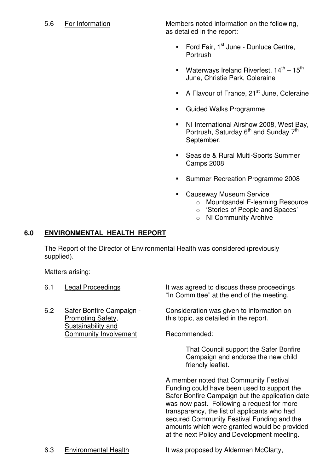5.6 For Information Members noted information on the following, as detailed in the report:

- Ford Fair,  $1<sup>st</sup>$  June Dunluce Centre, Portrush
- Waterways Ireland Riverfest,  $14^{th} 15^{th}$ June, Christie Park, Coleraine
- A Flavour of France,  $21<sup>st</sup>$  June, Coleraine
- **Guided Walks Programme**
- NI International Airshow 2008, West Bay, Portrush, Saturday 6<sup>th</sup> and Sunday 7<sup>th</sup> September.
- **Seaside & Rural Multi-Sports Summer** Camps 2008
- **Summer Recreation Programme 2008**
- **Causeway Museum Service** 
	- o Mountsandel E-learning Resource
	- o 'Stories of People and Spaces'
	- o NI Community Archive

# **6.0 ENVIRONMENTAL HEALTH REPORT**

 The Report of the Director of Environmental Health was considered (previously supplied).

Matters arising:

| 6.1 | <b>Legal Proceedings</b>                                            | It was agreed to discuss these proceedings<br>"In Committee" at the end of the meeting.                                                                                                                                                                                                                                              |
|-----|---------------------------------------------------------------------|--------------------------------------------------------------------------------------------------------------------------------------------------------------------------------------------------------------------------------------------------------------------------------------------------------------------------------------|
| 6.2 | Safer Bonfire Campaign -<br>Promoting Safety,<br>Sustainability and | Consideration was given to information on<br>this topic, as detailed in the report.                                                                                                                                                                                                                                                  |
|     | <b>Community Involvement</b>                                        | Recommended:                                                                                                                                                                                                                                                                                                                         |
|     |                                                                     | That Council support the Safer Bonfire<br>Campaign and endorse the new child<br>friendly leaflet.                                                                                                                                                                                                                                    |
|     |                                                                     | A member noted that Community Festival<br>Funding could have been used to support the<br>Safer Bonfire Campaign but the application date<br>was now past. Following a request for more<br>transparency, the list of applicants who had<br>secured Community Festival Funding and the<br>amounts which were granted would be provided |

6.3 Environmental Health It was proposed by Alderman McClarty,

at the next Policy and Development meeting.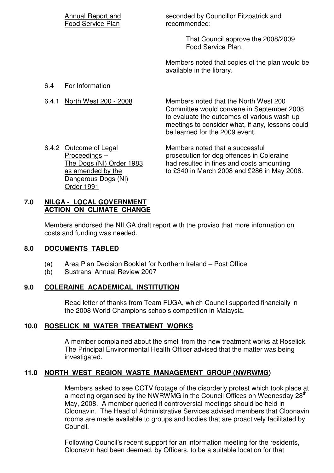|       | Annual Report and<br>Food Service Plan | seconded by Councillor Fitzpatrick and<br>recommended:                                                                                                                                                                  |
|-------|----------------------------------------|-------------------------------------------------------------------------------------------------------------------------------------------------------------------------------------------------------------------------|
|       |                                        | That Council approve the 2008/2009<br>Food Service Plan.                                                                                                                                                                |
|       |                                        | Members noted that copies of the plan would be<br>available in the library.                                                                                                                                             |
| 6.4   | For Information                        |                                                                                                                                                                                                                         |
| 6.4.1 | North West 200 - 2008                  | Members noted that the North West 200<br>Committee would convene in September 2008<br>to evaluate the outcomes of various wash-up<br>meetings to consider what, if any, lessons could<br>be learned for the 2009 event. |

6.4.2 Outcome of Legal Members noted that a successful Dangerous Dogs (NI) Order 1991

Proceedings – prosecution for dog offences in Coleraine<br>The Dogs (NI) Order 1983 had resulted in fines and costs amounting had resulted in fines and costs amounting as amended by the to £340 in March 2008 and £286 in May 2008.

# **7.0 NILGA - LOCAL GOVERNMENT ACTION ON CLIMATE CHANGE**

Members endorsed the NILGA draft report with the proviso that more information on costs and funding was needed.

# **8.0 DOCUMENTS TABLED**

- (a) Area Plan Decision Booklet for Northern Ireland Post Office
- (b) Sustrans' Annual Review 2007

# **9.0 COLERAINE ACADEMICAL INSTITUTION**

 Read letter of thanks from Team FUGA, which Council supported financially in the 2008 World Champions schools competition in Malaysia.

# **10.0 ROSELICK NI WATER TREATMENT WORKS**

 A member complained about the smell from the new treatment works at Roselick. The Principal Environmental Health Officer advised that the matter was being investigated.

# **11.0 NORTH WEST REGION WASTE MANAGEMENT GROUP (NWRWMG)**

 Members asked to see CCTV footage of the disorderly protest which took place at a meeting organised by the NWRWMG in the Council Offices on Wednesday 28<sup>th</sup> May, 2008. A member queried if controversial meetings should be held in Cloonavin. The Head of Administrative Services advised members that Cloonavin rooms are made available to groups and bodies that are proactively facilitated by Council.

> Following Council's recent support for an information meeting for the residents, Cloonavin had been deemed, by Officers, to be a suitable location for that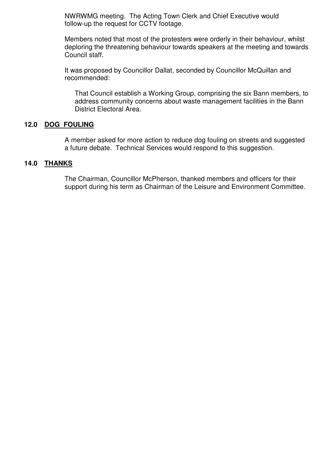NWRWMG meeting. The Acting Town Clerk and Chief Executive would follow-up the request for CCTV footage.

 Members noted that most of the protesters were orderly in their behaviour, whilst deploring the threatening behaviour towards speakers at the meeting and towards Council staff.

 It was proposed by Councillor Dallat, seconded by Councillor McQuillan and recommended:

 That Council establish a Working Group, comprising the six Bann members, to address community concerns about waste management facilities in the Bann District Electoral Area.

#### **12.0 DOG FOULING**

 A member asked for more action to reduce dog fouling on streets and suggested a future debate. Technical Services would respond to this suggestion.

#### **14.0 THANKS**

 The Chairman, Councillor McPherson, thanked members and officers for their support during his term as Chairman of the Leisure and Environment Committee.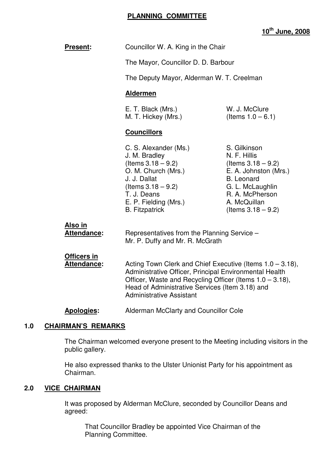#### **PLANNING COMMITTEE**

**10th June, 2008**

| Present:                                 | Councillor W. A. King in the Chair<br>The Mayor, Councillor D. D. Barbour                                                                                                                                                          |                                                                                                                                                                                     |
|------------------------------------------|------------------------------------------------------------------------------------------------------------------------------------------------------------------------------------------------------------------------------------|-------------------------------------------------------------------------------------------------------------------------------------------------------------------------------------|
|                                          |                                                                                                                                                                                                                                    |                                                                                                                                                                                     |
|                                          | The Deputy Mayor, Alderman W. T. Creelman                                                                                                                                                                                          |                                                                                                                                                                                     |
|                                          | <b>Aldermen</b>                                                                                                                                                                                                                    |                                                                                                                                                                                     |
|                                          | E. T. Black (Mrs.)<br>M. T. Hickey (Mrs.)                                                                                                                                                                                          | W. J. McClure<br>(Items $1.0 - 6.1$ )                                                                                                                                               |
|                                          | <b>Councillors</b>                                                                                                                                                                                                                 |                                                                                                                                                                                     |
|                                          | C. S. Alexander (Ms.)<br>J. M. Bradley<br>(Items $3.18 - 9.2$ )<br>O. M. Church (Mrs.)<br>J. J. Dallat<br>(Items $3.18 - 9.2$ )<br>T. J. Deans<br>E. P. Fielding (Mrs.)<br><b>B.</b> Fitzpatrick                                   | S. Gilkinson<br>N. F. Hillis<br>(Items $3.18 - 9.2$ )<br>E. A. Johnston (Mrs.)<br><b>B.</b> Leonard<br>G. L. McLaughlin<br>R. A. McPherson<br>A. McQuillan<br>(Items $3.18 - 9.2$ ) |
| <u>Also in</u><br>Attendance:            | Representatives from the Planning Service -<br>Mr. P. Duffy and Mr. R. McGrath                                                                                                                                                     |                                                                                                                                                                                     |
| <b>Officers in</b><br><b>Attendance:</b> | Acting Town Clerk and Chief Executive (Items 1.0 - 3.18),<br>Administrative Officer, Principal Environmental Health<br>Officer, Waste and Recycling Officer (Items 1.0 - 3.18),<br>Head of Administrative Services (Item 3.18) and |                                                                                                                                                                                     |

**Apologies:** Alderman McClarty and Councillor Cole

Administrative Assistant

#### **1.0 CHAIRMAN'S REMARKS**

 The Chairman welcomed everyone present to the Meeting including visitors in the public gallery.

 He also expressed thanks to the Ulster Unionist Party for his appointment as Chairman.

#### **2.0 VICE CHAIRMAN**

 It was proposed by Alderman McClure, seconded by Councillor Deans and agreed:

 That Councillor Bradley be appointed Vice Chairman of the Planning Committee.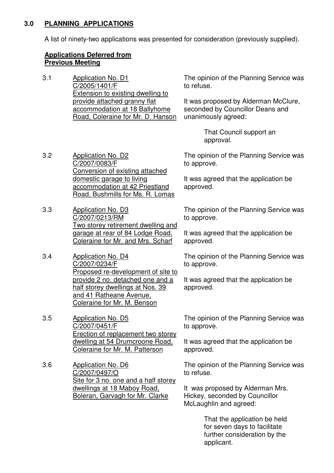### **3.0 PLANNING APPLICATIONS**

A list of ninety-two applications was presented for consideration (previously supplied).

### **Applications Deferred from Previous Meeting**

3.2 Application No. D2

3.3 Application No. D3

3.4 Application No. D4

C/2007/0234/F

C/2007/0083/F

C/2007/0213/RM

3.1 Application No. D1 C/2005/1401/F Extension to existing dwelling to provide attached granny flat accommodation at 18 Ballyhome Road, Coleraine for Mr. D. Hanson

domestic garage to living

accommodation at 42 Priestland Road, Bushmills for Ms. R. Lomas

Two storey retirement dwelling and garage at rear of 84 Lodge Road, Coleraine for Mr. and Mrs. Scharf

Proposed re-development of site to provide 2 no. detached one and a half storey dwellings at Nos. 39 and 41 Ratheane Avenue, Coleraine for Mr. M. Benson

The opinion of the Planning Service was to refuse.

It was proposed by Alderman McClure, seconded by Councillor Deans and unanimously agreed:

> That Council support an approval.

Conversion of existing attached The opinion of the Planning Service was to approve.

> It was agreed that the application be approved.

The opinion of the Planning Service was to approve.

It was agreed that the application be approved.

The opinion of the Planning Service was to approve.

It was agreed that the application be approved.

3.5 Application No. D5 C/2007/0451/F Erection of replacement two storey dwelling at 54 Drumcroone Road,

Coleraine for Mr. M. Patterson

3.6 Application No. D6 C/2007/0497/O Site for 3 no. one and a half storey dwellings at 18 Maboy Road, Boleran, Garvagh for Mr. Clarke

The opinion of the Planning Service was to approve.

It was agreed that the application be approved.

The opinion of the Planning Service was to refuse.

It was proposed by Alderman Mrs. Hickey, seconded by Councillor McLaughlin and agreed:

> That the application be held for seven days to facilitate further consideration by the applicant.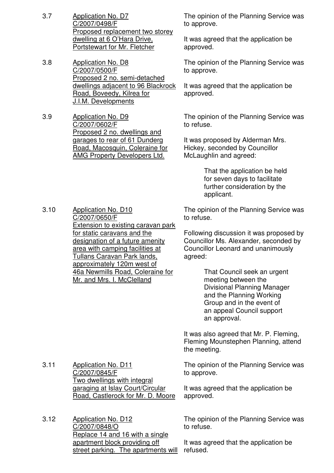- 3.7 Application No. D7 C/2007/0498/F Proposed replacement two storey dwelling at 6 O'Hara Drive, Portstewart for Mr. Fletcher
- 3.8 Application No. D8 C/2007/0500/F Proposed 2 no. semi-detached dwellings adjacent to 96 Blackrock Road, Boveedy, Kilrea for J.I.M. Developments
- 3.9 Application No. D9 C/2007/0602/F Proposed 2 no. dwellings and garages to rear of 61 Dunderg Road, Macosquin, Coleraine for AMG Property Developers Ltd.

The opinion of the Planning Service was to approve.

It was agreed that the application be approved.

The opinion of the Planning Service was to approve.

It was agreed that the application be approved.

The opinion of the Planning Service was to refuse.

It was proposed by Alderman Mrs. Hickey, seconded by Councillor McLaughlin and agreed:

> That the application be held for seven days to facilitate further consideration by the applicant.

3.10 Application No. D10 C/2007/0650/F Extension to existing caravan park for static caravans and the designation of a future amenity area with camping facilities at Tullans Caravan Park lands, approximately 120m west of 46a Newmills Road, Coleraine for Mr. and Mrs. I. McClelland

The opinion of the Planning Service was to refuse.

Following discussion it was proposed by Councillor Ms. Alexander, seconded by Councillor Leonard and unanimously agreed:

> That Council seek an urgent meeting between the Divisional Planning Manager and the Planning Working Group and in the event of an appeal Council support an approval.

It was also agreed that Mr. P. Fleming, Fleming Mounstephen Planning, attend the meeting.

The opinion of the Planning Service was to approve.

It was agreed that the application be approved.

The opinion of the Planning Service was to refuse.

It was agreed that the application be refused.

- 3.11 Application No. D11 C/2007/0845/F Two dwellings with integral garaging at Islay Court/Circular Road, Castlerock for Mr. D. Moore
- 3.12 Application No. D12 C/2007/0848/O Replace 14 and 16 with a single apartment block providing off street parking. The apartments will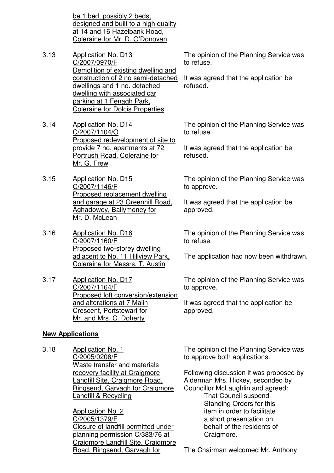be 1 bed, possibly 2 beds, designed and built to a high quality at 14 and 16 Hazelbank Road, Coleraine for Mr. D. O'Donovan

3.13 Application No. D13 C/2007/0970/F Demolition of existing dwelling and construction of 2 no semi-detached dwellings and 1 no. detached dwelling with associated car parking at 1 Fenagh Park, Coleraine for Dolcis Properties

3.14 Application No. D14 C/2007/1104/O Proposed redevelopment of site to provide 7 no. apartments at 72 Portrush Road, Coleraine for Mr. G. Frew

- 3.15 Application No. D15 C/2007/1146/F Proposed replacement dwelling and garage at 23 Greenhill Road, Aghadowey, Ballymoney for Mr. D. McLean
- 3.16 Application No. D16 C/2007/1160/F Proposed two-storey dwelling adjacent to No. 11 Hillview Park, Coleraine for Messrs. T. Austin
- 3.17 Application No. D17 C/2007/1164/F Proposed loft conversion/extension and alterations at 7 Malin Crescent, Portstewart for Mr. and Mrs. C. Doherty

# **New Applications**

3.18 Application No. 1 C/2005/0208/F Waste transfer and materials recovery facility at Craigmore Landfill Site, Craigmore Road, Ringsend, Garvagh for Craigmore Landfill & Recycling

> Application No. 2 C/2005/1379/F Closure of landfill permitted under planning permission C/383/76 at Craigmore Landfill Site, Craigmore Road, Ringsend, Garvagh for

The opinion of the Planning Service was to refuse.

It was agreed that the application be refused.

The opinion of the Planning Service was to refuse.

It was agreed that the application be refused.

The opinion of the Planning Service was to approve.

It was agreed that the application be approved.

The opinion of the Planning Service was to refuse.

The application had now been withdrawn.

The opinion of the Planning Service was to approve.

It was agreed that the application be approved.

The opinion of the Planning Service was to approve both applications.

Following discussion it was proposed by Alderman Mrs. Hickey, seconded by Councillor McLaughlin and agreed:

 That Council suspend Standing Orders for this item in order to facilitate a short presentation on behalf of the residents of Craigmore.

The Chairman welcomed Mr. Anthony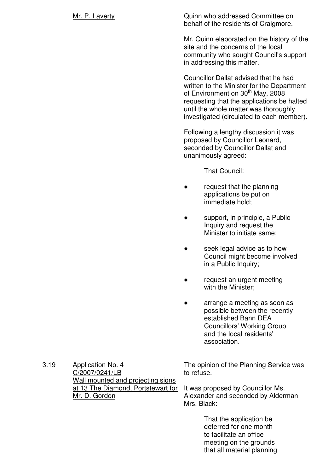Mr. P. Laverty Quinn who addressed Committee on behalf of the residents of Craigmore.

> Mr. Quinn elaborated on the history of the site and the concerns of the local community who sought Council's support in addressing this matter.

> Councillor Dallat advised that he had written to the Minister for the Department of Environment on 30<sup>th</sup> May, 2008 requesting that the applications be halted until the whole matter was thoroughly investigated (circulated to each member).

Following a lengthy discussion it was proposed by Councillor Leonard, seconded by Councillor Dallat and unanimously agreed:

That Council:

- request that the planning applications be put on immediate hold;
- support, in principle, a Public Inquiry and request the Minister to initiate same;
- seek legal advice as to how Council might become involved in a Public Inquiry;
- request an urgent meeting with the Minister;
- arrange a meeting as soon as possible between the recently established Bann DEA Councillors' Working Group and the local residents' association.

3.19 Application No. 4 C/2007/0241/LB Wall mounted and projecting signs at 13 The Diamond, Portstewart for Mr. D. Gordon

The opinion of the Planning Service was to refuse.

It was proposed by Councillor Ms. Alexander and seconded by Alderman Mrs. Black:

> That the application be deferred for one month to facilitate an office meeting on the grounds that all material planning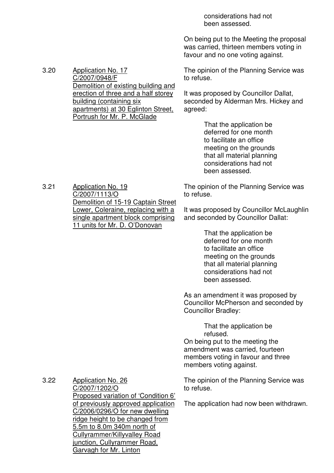considerations had not been assessed.

On being put to the Meeting the proposal was carried, thirteen members voting in favour and no one voting against.

The opinion of the Planning Service was to refuse.

It was proposed by Councillor Dallat, seconded by Alderman Mrs. Hickey and agreed:

> That the application be deferred for one month to facilitate an office meeting on the grounds that all material planning considerations had not been assessed.

The opinion of the Planning Service was to refuse.

It was proposed by Councillor McLaughlin and seconded by Councillor Dallat:

> That the application be deferred for one month to facilitate an office meeting on the grounds that all material planning considerations had not been assessed.

As an amendment it was proposed by Councillor McPherson and seconded by Councillor Bradley:

> That the application be refused.

On being put to the meeting the amendment was carried, fourteen members voting in favour and three members voting against.

The opinion of the Planning Service was to refuse.

The application had now been withdrawn.

3.20 Application No. 17 C/2007/0948/F Demolition of existing building and erection of three and a half storey building (containing six apartments) at 30 Eglinton Street, Portrush for Mr. P. McGlade

3.21 Application No. 19 C/2007/1113/O Demolition of 15-19 Captain Street Lower, Coleraine, replacing with a single apartment block comprising 11 units for Mr. D. O'Donovan

3.22 Application No. 26 C/2007/1202/O Proposed variation of 'Condition 6' of previously approved application C/2006/0296/O for new dwelling ridge height to be changed from 5.5m to 8.0m 340m north of Cullyrammer/Killyvalley Road junction, Cullyrammer Road,

Garvagh for Mr. Linton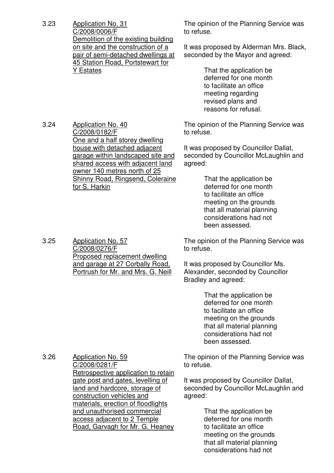3.23 Application No. 31 C/2008/0006/F Demolition of the existing building on site and the construction of a pair of semi-detached dwellings at 45 Station Road, Portstewart for Y Estates

3.24 Application No. 40

C/2008/0182/F

for S. Harkin

One and a half storey dwelling house with detached adjacent garage within landscaped site and shared access with adjacent land owner 140 metres north of 25 Shinny Road, Ringsend, Coleraine The opinion of the Planning Service was to refuse.

It was proposed by Alderman Mrs. Black, seconded by the Mayor and agreed:

> That the application be deferred for one month to facilitate an office meeting regarding revised plans and reasons for refusal.

The opinion of the Planning Service was to refuse.

It was proposed by Councillor Dallat, seconded by Councillor McLaughlin and agreed:

> That the application be deferred for one month to facilitate an office meeting on the grounds that all material planning considerations had not been assessed.

The opinion of the Planning Service was to refuse.

It was proposed by Councillor Ms. Alexander, seconded by Councillor Bradley and agreed:

> That the application be deferred for one month to facilitate an office meeting on the grounds that all material planning considerations had not been assessed.

The opinion of the Planning Service was to refuse.

It was proposed by Councillor Dallat, seconded by Councillor McLaughlin and agreed:

> That the application be deferred for one month to facilitate an office meeting on the grounds that all material planning considerations had not

3.25 Application No. 57 C/2008/0276/F Proposed replacement dwelling and garage at 27 Corbally Road, Portrush for Mr. and Mrs. G. Neill

3.26 Application No. 59 C/2008/0281/F Retrospective application to retain gate post and gates, levelling of land and hardcore, storage of construction vehicles and materials, erection of floodlights and unauthorised commercial access adjacent to 2 Temple Road, Garvagh for Mr. G. Heaney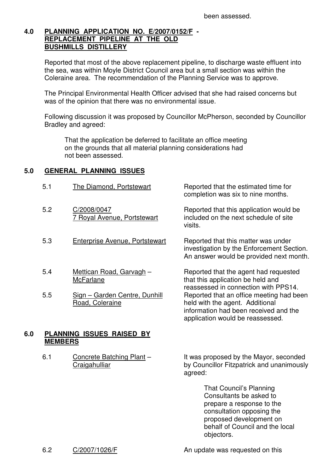# **4.0 PLANNING APPLICATION NO. E/2007/0152/F - REPLACEMENT PIPELINE AT THE OLD BUSHMILLS DISTILLERY**

 Reported that most of the above replacement pipeline, to discharge waste effluent into the sea, was within Moyle District Council area but a small section was within the Coleraine area. The recommendation of the Planning Service was to approve.

 The Principal Environmental Health Officer advised that she had raised concerns but was of the opinion that there was no environmental issue.

 Following discussion it was proposed by Councillor McPherson, seconded by Councillor Bradley and agreed:

visits.

 That the application be deferred to facilitate an office meeting on the grounds that all material planning considerations had not been assessed.

# **5.0 GENERAL PLANNING ISSUES**

- 5.1 The Diamond, Portstewart Reported that the estimated time for
- 5.2 C/2008/0047 7 Royal Avenue, Portstewart
- 5.3 Enterprise Avenue, Portstewart Reported that this matter was under
- 5.4 Mettican Road, Garvagh **McFarlane**
- 5.5 Sign Garden Centre, Dunhill Road, Coleraine

# **6.0 PLANNING ISSUES RAISED BY MEMBERS**

6.1 Concrete Batching Plant – **Craigahulliar** 

It was proposed by the Mayor, seconded by Councillor Fitzpatrick and unanimously agreed:

completion was six to nine months.

Reported that this application would be included on the next schedule of site

investigation by the Enforcement Section. An answer would be provided next month.

Reported that the agent had requested

reassessed in connection with PPS14.

information had been received and the application would be reassessed.

Reported that an office meeting had been

that this application be held and

held with the agent. Additional

 That Council's Planning Consultants be asked to prepare a response to the consultation opposing the proposed development on behalf of Council and the local objectors.

6.2 C/2007/1026/F An update was requested on this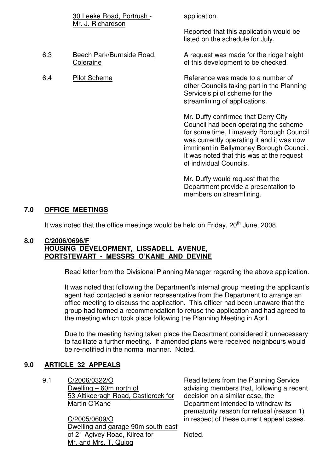|     | 30 Leeke Road, Portrush -              | application.                                                                                                                                                                                                                                                                            |
|-----|----------------------------------------|-----------------------------------------------------------------------------------------------------------------------------------------------------------------------------------------------------------------------------------------------------------------------------------------|
|     | Mr. J. Richardson                      | Reported that this application would be<br>listed on the schedule for July.                                                                                                                                                                                                             |
| 6.3 | Beech Park/Burnside Road,<br>Coleraine | A request was made for the ridge height<br>of this development to be checked.                                                                                                                                                                                                           |
| 6.4 | <b>Pilot Scheme</b>                    | Reference was made to a number of<br>other Councils taking part in the Planning<br>Service's pilot scheme for the<br>streamlining of applications.                                                                                                                                      |
|     |                                        | Mr. Duffy confirmed that Derry City<br>Council had been operating the scheme<br>for some time, Limavady Borough Council<br>was currently operating it and it was now<br>imminent in Ballymoney Borough Council.<br>It was noted that this was at the request<br>of individual Councils. |
|     |                                        | Mr. Duffy would request that the                                                                                                                                                                                                                                                        |

Mr. Duffy would request that the Department provide a presentation to members on streamlining.

# **7.0 OFFICE MEETINGS**

It was noted that the office meetings would be held on Friday,  $20^{th}$  June, 2008.

#### **8.0 C/2006/0696/F HOUSING DEVELOPMENT, LISSADELL AVENUE, PORTSTEWART - MESSRS O'KANE AND DEVINE**

Read letter from the Divisional Planning Manager regarding the above application.

 It was noted that following the Department's internal group meeting the applicant's agent had contacted a senior representative from the Department to arrange an office meeting to discuss the application. This officer had been unaware that the group had formed a recommendation to refuse the application and had agreed to the meeting which took place following the Planning Meeting in April.

 Due to the meeting having taken place the Department considered it unnecessary to facilitate a further meeting. If amended plans were received neighbours would be re-notified in the normal manner. Noted.

#### **9.0 ARTICLE 32 APPEALS**

9.1 C/2006/0322/O Dwelling – 60m north of 53 Altikeeragh Road, Castlerock for Martin O'Kane

> C/2005/0609/O Dwelling and garage 90m south-east of 21 Agivey Road, Kilrea for Mr. and Mrs. T. Quigg

Read letters from the Planning Service advising members that, following a recent decision on a similar case, the Department intended to withdraw its prematurity reason for refusal (reason 1) in respect of these current appeal cases.

Noted.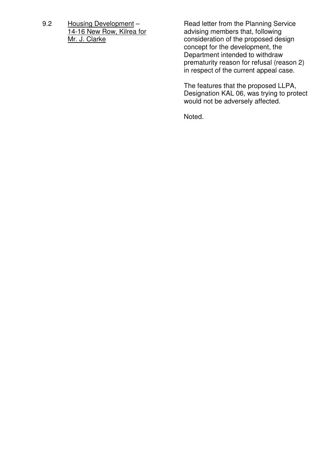9.2 Housing Development – 14-16 New Row, Kilrea for Mr. J. Clarke

Read letter from the Planning Service advising members that, following consideration of the proposed design concept for the development, the Department intended to withdraw prematurity reason for refusal (reason 2) in respect of the current appeal case.

The features that the proposed LLPA, Designation KAL 06, was trying to protect would not be adversely affected.

Noted.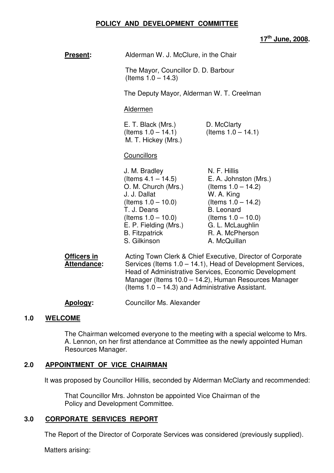#### **POLICY AND DEVELOPMENT COMMITTEE**

# **17th June, 2008.**

| <b>Present:</b>                   | Alderman W. J. McClure, in the Chair                                                                                                                                                                                                      |                                                                                                                                                                                                            |
|-----------------------------------|-------------------------------------------------------------------------------------------------------------------------------------------------------------------------------------------------------------------------------------------|------------------------------------------------------------------------------------------------------------------------------------------------------------------------------------------------------------|
|                                   | The Mayor, Councillor D. D. Barbour<br>(Items $1.0 - 14.3$ )                                                                                                                                                                              |                                                                                                                                                                                                            |
|                                   | The Deputy Mayor, Alderman W. T. Creelman                                                                                                                                                                                                 |                                                                                                                                                                                                            |
|                                   | <b>Aldermen</b>                                                                                                                                                                                                                           |                                                                                                                                                                                                            |
|                                   | E. T. Black (Mrs.)<br>(Items $1.0 - 14.1$ )<br>M. T. Hickey (Mrs.)                                                                                                                                                                        | D. McClarty<br>(Items $1.0 - 14.1$ )                                                                                                                                                                       |
|                                   | <b>Councillors</b>                                                                                                                                                                                                                        |                                                                                                                                                                                                            |
|                                   | J. M. Bradley<br>(Items $4.1 - 14.5$ )<br>O. M. Church (Mrs.)<br>J. J. Dallat<br>(Items $1.0 - 10.0$ )<br>T. J. Deans<br>(Items $1.0 - 10.0$ )<br>E. P. Fielding (Mrs.)<br><b>B.</b> Fitzpatrick<br>S. Gilkinson                          | N. F. Hillis<br>E. A. Johnston (Mrs.)<br>(Items $1.0 - 14.2$ )<br>W. A. King<br>(Items $1.0 - 14.2$ )<br><b>B.</b> Leonard<br>(Items $1.0 - 10.0$ )<br>G. L. McLaughlin<br>R. A. McPherson<br>A. McQuillan |
| Officers in<br><b>Attendance:</b> | Acting Town Clerk & Chief Executive, Director of Corporate<br>Services (Items 1.0 – 14.1), Head of Development Services,<br>Head of Administrative Services, Economic Development<br>Manager (Items 10.0 – 14.2), Human Resources Manager |                                                                                                                                                                                                            |

**Apology:** Councillor Ms. Alexander

#### **1.0 WELCOME**

The Chairman welcomed everyone to the meeting with a special welcome to Mrs. A. Lennon, on her first attendance at Committee as the newly appointed Human Resources Manager.

(Items 1.0 – 14.3) and Administrative Assistant.

#### **2.0 APPOINTMENT OF VICE CHAIRMAN**

It was proposed by Councillor Hillis, seconded by Alderman McClarty and recommended:

 That Councillor Mrs. Johnston be appointed Vice Chairman of the Policy and Development Committee.

#### **3.0 CORPORATE SERVICES REPORT**

The Report of the Director of Corporate Services was considered (previously supplied).

Matters arising: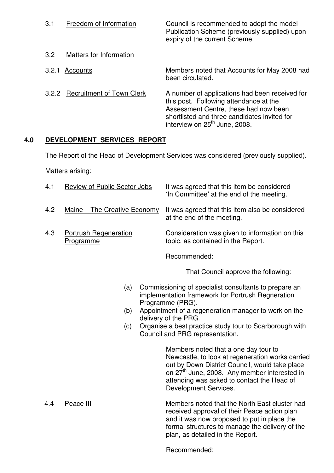| 3.1   | Freedom of Information           | Council is recommended to adopt the model<br>Publication Scheme (previously supplied) upon<br>expiry of the current Scheme.                                                                                                    |
|-------|----------------------------------|--------------------------------------------------------------------------------------------------------------------------------------------------------------------------------------------------------------------------------|
| 3.2   | Matters for Information          |                                                                                                                                                                                                                                |
| 3.2.1 | Accounts                         | Members noted that Accounts for May 2008 had<br>been circulated.                                                                                                                                                               |
| 3.2.2 | <b>Recruitment of Town Clerk</b> | A number of applications had been received for<br>this post. Following attendance at the<br>Assessment Centre, these had now been<br>shortlisted and three candidates invited for<br>interview on 25 <sup>th</sup> June, 2008. |

# **4.0 DEVELOPMENT SERVICES REPORT**

The Report of the Head of Development Services was considered (previously supplied).

Matters arising:

| 4.1 | Review of Public Sector Jobs              | It was agreed that this item be considered<br>'In Committee' at the end of the meeting. |
|-----|-------------------------------------------|-----------------------------------------------------------------------------------------|
| 4.2 | Maine - The Creative Economy              | It was agreed that this item also be considered<br>at the end of the meeting.           |
| 4.3 | <b>Portrush Regeneration</b><br>Programme | Consideration was given to information on this<br>topic, as contained in the Report.    |
|     |                                           | Recommended:                                                                            |

That Council approve the following:

- (a) Commissioning of specialist consultants to prepare an implementation framework for Portrush Regneration Programme (PRG).
- (b) Appointment of a regeneration manager to work on the delivery of the PRG.
- (c) Organise a best practice study tour to Scarborough with Council and PRG representation.

Members noted that a one day tour to Newcastle, to look at regeneration works carried out by Down District Council, would take place on 27<sup>th</sup> June, 2008. Any member interested in attending was asked to contact the Head of Development Services.

 4.4 Peace III Members noted that the North East cluster had received approval of their Peace action plan and it was now proposed to put in place the formal structures to manage the delivery of the plan, as detailed in the Report.

Recommended: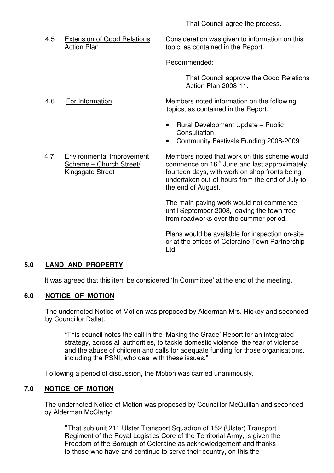That Council agree the process.

4.5 Extension of Good Relations Consideration was given to information on this Action Plan<br>Action Plan the Copic, as contained in the Report. topic, as contained in the Report.

Recommended:

 That Council approve the Good Relations Action Plan 2008-11.

4.6 For Information Members noted information on the following topics, as contained in the Report.

- Rural Development Update Public **Consultation**
- Community Festivals Funding 2008-2009
- 4.7 Environmental Improvement Members noted that work on this scheme would<br>Scheme Church Street/ commence on 16<sup>th</sup> June and last approximately commence on  $16<sup>th</sup>$  June and last approximately Kingsgate Street **Fourteen days, with work on shop fronts being** undertaken out-of-hours from the end of July to the end of August.

The main paving work would not commence until September 2008, leaving the town free from roadworks over the summer period.

Plans would be available for inspection on-site or at the offices of Coleraine Town Partnership Ltd.

# **5.0 LAND AND PROPERTY**

It was agreed that this item be considered 'In Committee' at the end of the meeting.

#### **6.0 NOTICE OF MOTION**

The undernoted Notice of Motion was proposed by Alderman Mrs. Hickey and seconded by Councillor Dallat:

"This council notes the call in the 'Making the Grade' Report for an integrated strategy, across all authorities, to tackle domestic violence, the fear of violence and the abuse of children and calls for adequate funding for those organisations, including the PSNI, who deal with these issues."

Following a period of discussion, the Motion was carried unanimously.

#### **7.0 NOTICE OF MOTION**

The undernoted Notice of Motion was proposed by Councillor McQuillan and seconded by Alderman McClarty:

"That sub unit 211 Ulster Transport Squadron of 152 (Ulster) Transport Regiment of the Royal Logistics Core of the Territorial Army, is given the Freedom of the Borough of Coleraine as acknowledgement and thanks to those who have and continue to serve their country, on this the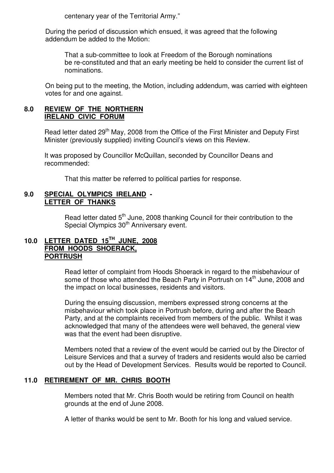centenary year of the Territorial Army."

During the period of discussion which ensued, it was agreed that the following addendum be added to the Motion:

 That a sub-committee to look at Freedom of the Borough nominations be re-constituted and that an early meeting be held to consider the current list of nominations.

On being put to the meeting, the Motion, including addendum, was carried with eighteen votes for and one against.

#### **8.0 REVIEW OF THE NORTHERN IRELAND CIVIC FORUM**

Read letter dated 29<sup>th</sup> May, 2008 from the Office of the First Minister and Deputy First Minister (previously supplied) inviting Council's views on this Review.

It was proposed by Councillor McQuillan, seconded by Councillor Deans and recommended:

That this matter be referred to political parties for response.

#### **9.0 SPECIAL OLYMPICS IRELAND - LETTER OF THANKS**

Read letter dated 5<sup>th</sup> June, 2008 thanking Council for their contribution to the Special Olympics 30<sup>th</sup> Anniversary event.

# **10.0 LETTER DATED 15TH JUNE, 2008 FROM HOODS SHOERACK, PORTRUSH**

 Read letter of complaint from Hoods Shoerack in regard to the misbehaviour of some of those who attended the Beach Party in Portrush on  $14<sup>th</sup>$  June, 2008 and the impact on local businesses, residents and visitors.

During the ensuing discussion, members expressed strong concerns at the misbehaviour which took place in Portrush before, during and after the Beach Party, and at the complaints received from members of the public. Whilst it was acknowledged that many of the attendees were well behaved, the general view was that the event had been disruptive.

Members noted that a review of the event would be carried out by the Director of Leisure Services and that a survey of traders and residents would also be carried out by the Head of Development Services. Results would be reported to Council.

# **11.0 RETIREMENT OF MR. CHRIS BOOTH**

Members noted that Mr. Chris Booth would be retiring from Council on health grounds at the end of June 2008.

A letter of thanks would be sent to Mr. Booth for his long and valued service.